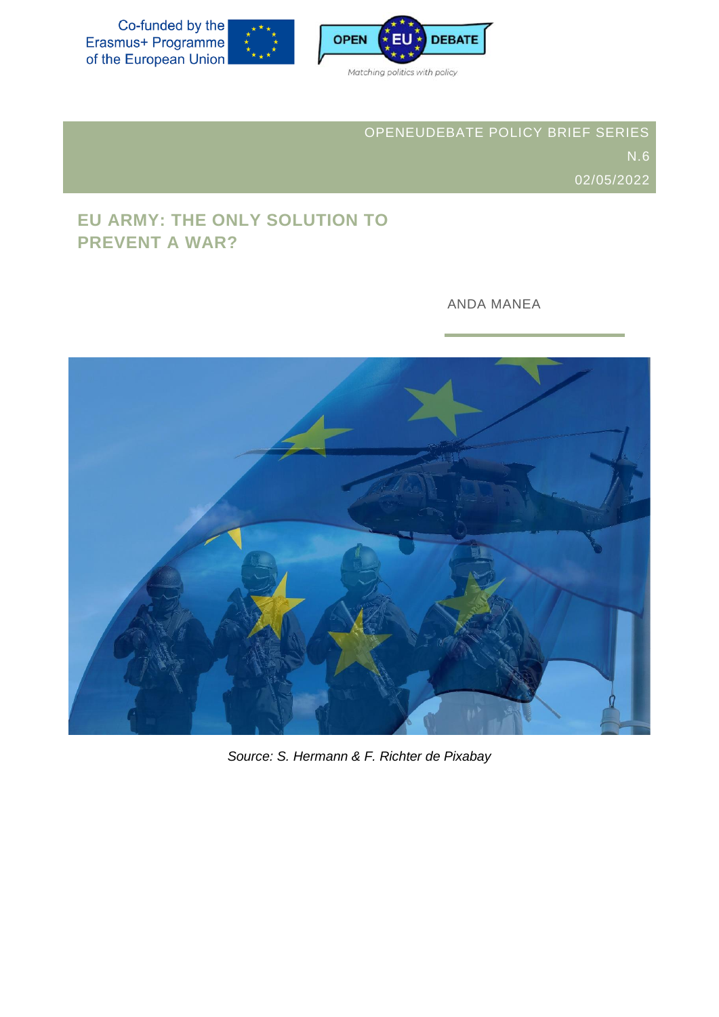Co-funded by the<br>Erasmus+ Programme of the European Union





OPENEUDEBATE POLICY BRIEF SERIES 02/05/2022

# **EU ARMY: THE ONLY SOLUTION TO PREVENT A WAR?**

ANDA MANEA



*Source: S. Hermann & F. Richter de Pixabay*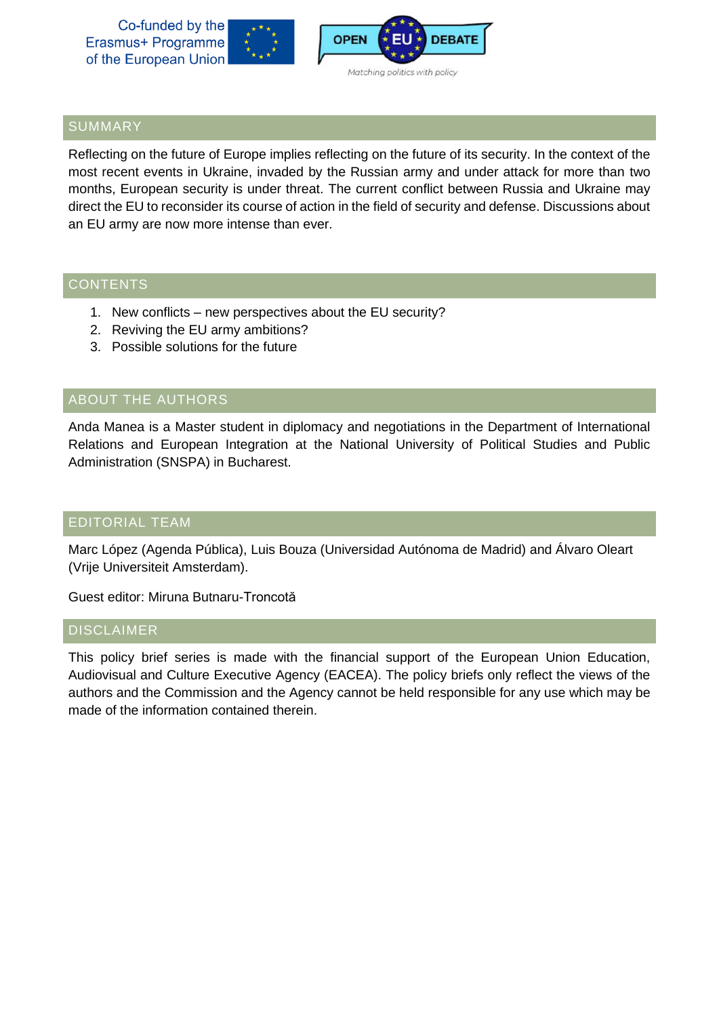Co-funded by the Erasmus+ Programme of the European Union





## SUMMARY

Reflecting on the future of Europe implies reflecting on the future of its security. In the context of the most recent events in Ukraine, invaded by the Russian army and under attack for more than two months, European security is under threat. The current conflict between Russia and Ukraine may direct the EU to reconsider its course of action in the field of security and defense. Discussions about an EU army are now more intense than ever.

## **CONTENTS**

- 1. New conflicts new perspectives about the EU security?
- 2. Reviving the EU army ambitions?
- 3. Possible solutions for the future

## ABOUT THE AUTHORS

Anda Manea is a Master student in diplomacy and negotiations in the Department of International Relations and European Integration at the National University of Political Studies and Public Administration (SNSPA) in Bucharest.

## EDITORIAL TEAM

Marc López (Agenda Pública), Luis Bouza (Universidad Autónoma de Madrid) and Álvaro Oleart (Vrije Universiteit Amsterdam).

Guest editor: Miruna Butnaru-Troncotă

#### DISCLAIMER

This policy brief series is made with the financial support of the European Union Education, Audiovisual and Culture Executive Agency (EACEA). The policy briefs only reflect the views of the authors and the Commission and the Agency cannot be held responsible for any use which may be made of the information contained therein.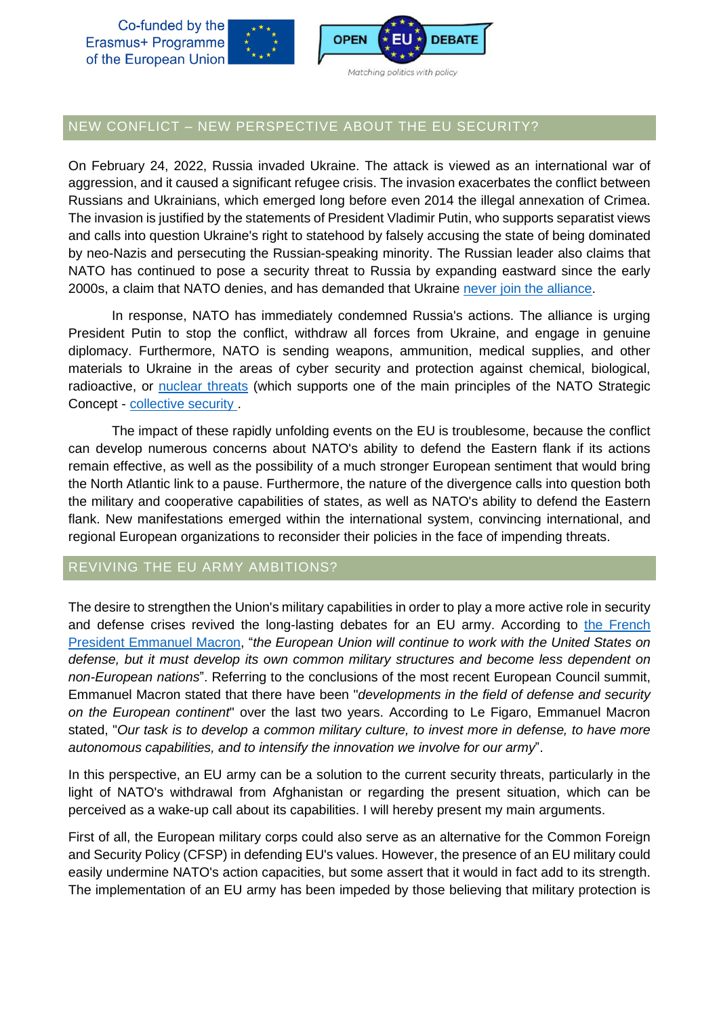Co-funded by the Erasmus+ Programme of the European Union





#### Matching politics with policy

## NEW CONFLICT – NEW PERSPECTIVE ABOUT THE EU SECURITY?

On February 24, 2022, Russia invaded Ukraine. The attack is viewed as an international war of aggression, and it caused a significant refugee crisis. The invasion exacerbates the conflict between Russians and Ukrainians, which emerged long before even 2014 the illegal annexation of Crimea. The invasion is justified by the statements of President Vladimir Putin, who supports separatist views and calls into question Ukraine's right to statehood by falsely accusing the state of being dominated by neo-Nazis and persecuting the Russian-speaking minority. The Russian leader also claims that NATO has continued to pose a security threat to Russia by expanding eastward since the early 2000s, a claim that NATO denies, and has demanded that Ukraine never join the [alliance.](https://www.factcheck.org/2022/02/russian-rhetoric-ahead-of-attack-against-ukraine-deny-deflect-mislead/)

In response, NATO has immediately condemned Russia's actions. The alliance is urging President Putin to stop the conflict, withdraw all forces from Ukraine, and engage in genuine diplomacy. Furthermore, NATO is sending weapons, ammunition, medical supplies, and other materials to Ukraine in the areas of cyber security and protection against chemical, biological, radioactive, or [nuclear](https://www.nato.int/cps/en/natohq/topics_192648.htm)) threats (which supports one of the main principles of the NATO Strategic Concept - [collective](https://www.nato.int/nato_static_fl2014/assets/pdf/pdf_publications/20120214_strategic-concept-2010-eng.pdf) security .

The impact of these rapidly unfolding events on the EU is troublesome, because the conflict can develop numerous concerns about NATO's ability to defend the Eastern flank if its actions remain effective, as well as the possibility of a much stronger European sentiment that would bring the North Atlantic link to a pause. Furthermore, the nature of the divergence calls into question both the military and cooperative capabilities of states, as well as NATO's ability to defend the Eastern flank. New manifestations emerged within the international system, convincing international, and regional European organizations to reconsider their policies in the face of impending threats.

### REVIVING THE EU ARMY AMBITIONS?

The desire to strengthen the Union's military capabilities in order to play a more active role in security and defense crises revived the long-lasting debates for an EU army. According to the [French](https://presidence-francaise.consilium.europa.eu/en/news/message-from-the-president/) President [Emmanuel](https://presidence-francaise.consilium.europa.eu/en/news/message-from-the-president/) Macron, "*the European Union will continue to work with the United States on defense, but it must develop its own common military structures and become less dependent on non-European nations*". Referring to the conclusions of the most recent European Council summit, Emmanuel Macron stated that there have been "*developments in the field of defense and security on the European continent*" over the last two years. According to Le Figaro, Emmanuel Macron stated, "*Our task is to develop a common military culture, to invest more in defense, to have more autonomous capabilities, and to intensify the innovation we involve for our army*".

In this perspective, an EU army can be a solution to the current security threats, particularly in the light of NATO's withdrawal from Afghanistan or regarding the present situation, which can be perceived as a wake-up call about its capabilities. I will hereby present my main arguments.

First of all, the European military corps could also serve as an alternative for the Common Foreign and Security Policy (CFSP) in defending EU's values. However, the presence of an EU military could easily undermine NATO's action capacities, but some assert that it would in fact add to its strength. The implementation of an EU army has been impeded by those believing that military protection is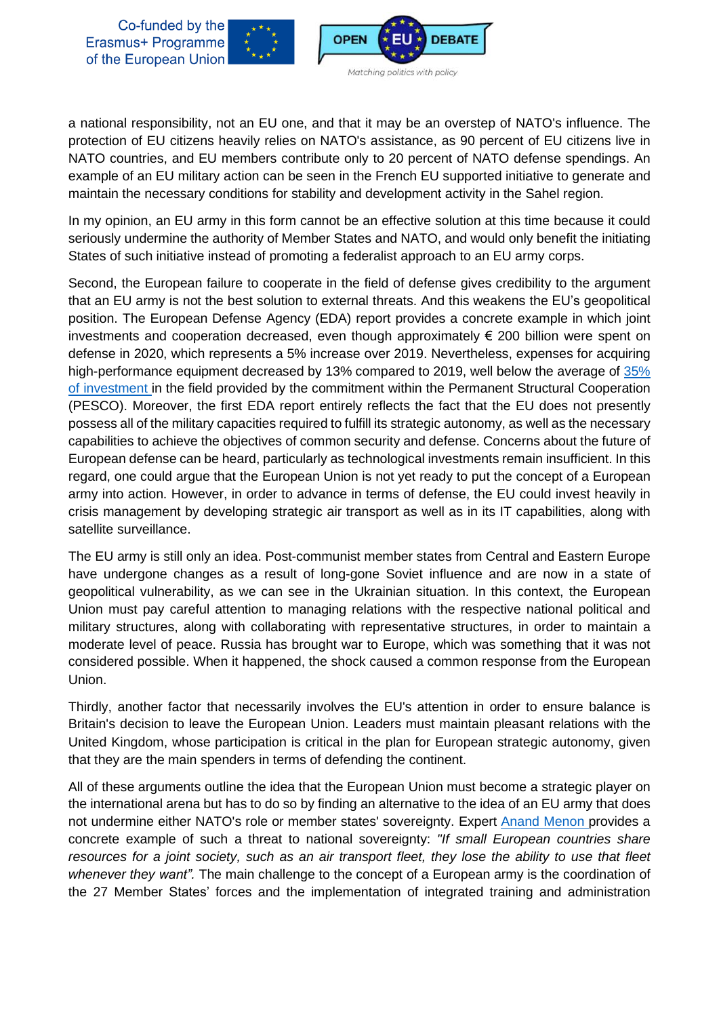



a national responsibility, not an EU one, and that it may be an overstep of NATO's influence. The protection of EU citizens heavily relies on NATO's assistance, as 90 percent of EU citizens live in NATO countries, and EU members contribute only to 20 percent of NATO defense spendings. An example of an EU military action can be seen in the French EU supported initiative to generate and maintain the necessary conditions for stability and development activity in the Sahel region.

In my opinion, an EU army in this form cannot be an effective solution at this time because it could seriously undermine the authority of Member States and NATO, and would only benefit the initiating States of such initiative instead of promoting a federalist approach to an EU army corps.

Second, the European failure to cooperate in the field of defense gives credibility to the argument that an EU army is not the best solution to external threats. And this weakens the EU's geopolitical position. The European Defense Agency (EDA) report provides a concrete example in which joint investments and cooperation decreased, even though approximately  $\epsilon$  200 billion were spent on defense in 2020, which represents a 5% increase over 2019. Nevertheless, expenses for acquiring high-performance equipment decreased by 13% compared to 2019, well below the average of [35%](https://eda.europa.eu/docs/default-source/brochures/eda---defence-data-report-2019-2020.pdf) of [investment](https://eda.europa.eu/docs/default-source/brochures/eda---defence-data-report-2019-2020.pdf) in the field provided by the commitment within the Permanent Structural Cooperation (PESCO). Moreover, the first EDA report entirely reflects the fact that the EU does not presently possess all of the military capacities required to fulfill its strategic autonomy, as well as the necessary capabilities to achieve the objectives of common security and defense. Concerns about the future of European defense can be heard, particularly as technological investments remain insufficient. In this regard, one could argue that the European Union is not yet ready to put the concept of a European army into action. However, in order to advance in terms of defense, the EU could invest heavily in crisis management by developing strategic air transport as well as in its IT capabilities, along with satellite surveillance.

The EU army is still only an idea. Post-communist member states from Central and Eastern Europe have undergone changes as a result of long-gone Soviet influence and are now in a state of geopolitical vulnerability, as we can see in the Ukrainian situation. In this context, the European Union must pay careful attention to managing relations with the respective national political and military structures, along with collaborating with representative structures, in order to maintain a moderate level of peace. Russia has brought war to Europe, which was something that it was not considered possible. When it happened, the shock caused a common response from the European Union.

Thirdly, another factor that necessarily involves the EU's attention in order to ensure balance is Britain's decision to leave the European Union. Leaders must maintain pleasant relations with the United Kingdom, whose participation is critical in the plan for European strategic autonomy, given that they are the main spenders in terms of defending the continent.

All of these arguments outline the idea that the European Union must become a strategic player on the international arena but has to do so by finding an alternative to the idea of an EU army that does not undermine either NATO's role or member states' sovereignty. Expert Anand [Menon](http://www.apple.com/) provides a concrete example of such a threat to national sovereignty: *"If small European countries share* resources for a joint society, such as an air transport fleet, they lose the ability to use that fleet *whenever they want".* The main challenge to the concept of a European army is the coordination of the 27 Member States' forces and the implementation of integrated training and administration